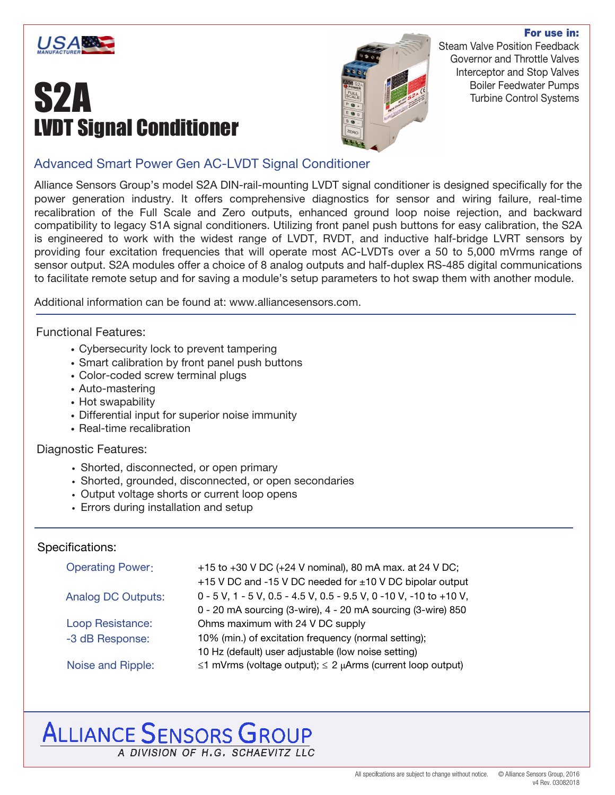

# **S2A**<br>**Example 19**<br>**Example 19**<br>**Example 20**<br>**Example 20**



Steam Valve Position Feedback Governor and Throttle Valves Interceptor and Stop Valves Boiler Feedwater Pumps Turbine Control Systems

For use in:

#### Advanced Smart Power Gen AC-LVDT Signal Conditioner

Alliance Sensors Group's model S2A DIN-rail-mounting LVDT signal conditioner is designed specifically for the power generation industry. It offers comprehensive diagnostics for sensor and wiring failure, real-time recalibration of the Full Scale and Zero outputs, enhanced ground loop noise rejection, and backward compatibility to legacy S1A signal conditioners. Utilizing front panel push buttons for easy calibration, the S2A is engineered to work with the widest range of LVDT, RVDT, and inductive half-bridge LVRT sensors by providing four excitation frequencies that will operate most AC-LVDTs over a 50 to 5,000 mVrms range of sensor output. S2A modules offer a choice of 8 analog outputs and half-duplex RS-485 digital communications to facilitate remote setup and for saving a module's setup parameters to hot swap them with another module.

Additional information can be found at: www.alliancesensors.com.

#### Functional Features:

- Cybersecurity lock to prevent tampering
- Smart calibration by front panel push buttons
- Color-coded screw terminal plugs
- Auto-mastering
- Hot swapability
- Differential input for superior noise immunity
- Real-time recalibration

#### Diagnostic Features:

- Shorted, disconnected, or open primary
- Shorted, grounded, disconnected, or open secondaries
- Output voltage shorts or current loop opens
- Errors during installation and setup

#### Specifications:

| <b>Operating Power:</b>   | +15 to +30 V DC (+24 V nominal), 80 mA max. at 24 V DC;               |
|---------------------------|-----------------------------------------------------------------------|
|                           | +15 V DC and -15 V DC needed for ±10 V DC bipolar output              |
| <b>Analog DC Outputs:</b> | 0 - 5 V, 1 - 5 V, 0.5 - 4.5 V, 0.5 - 9.5 V, 0 - 10 V, - 10 to + 10 V, |
|                           | 0 - 20 mA sourcing (3-wire), 4 - 20 mA sourcing (3-wire) 850          |
| Loop Resistance:          | Ohms maximum with 24 V DC supply                                      |
| -3 dB Response:           | 10% (min.) of excitation frequency (normal setting);                  |
|                           | 10 Hz (default) user adjustable (low noise setting)                   |
| Noise and Ripple:         | $\leq$ 1 mVrms (voltage output); $\leq$ 2 µArms (current loop output) |

### **ALLIANCE SENSORS GROUP**